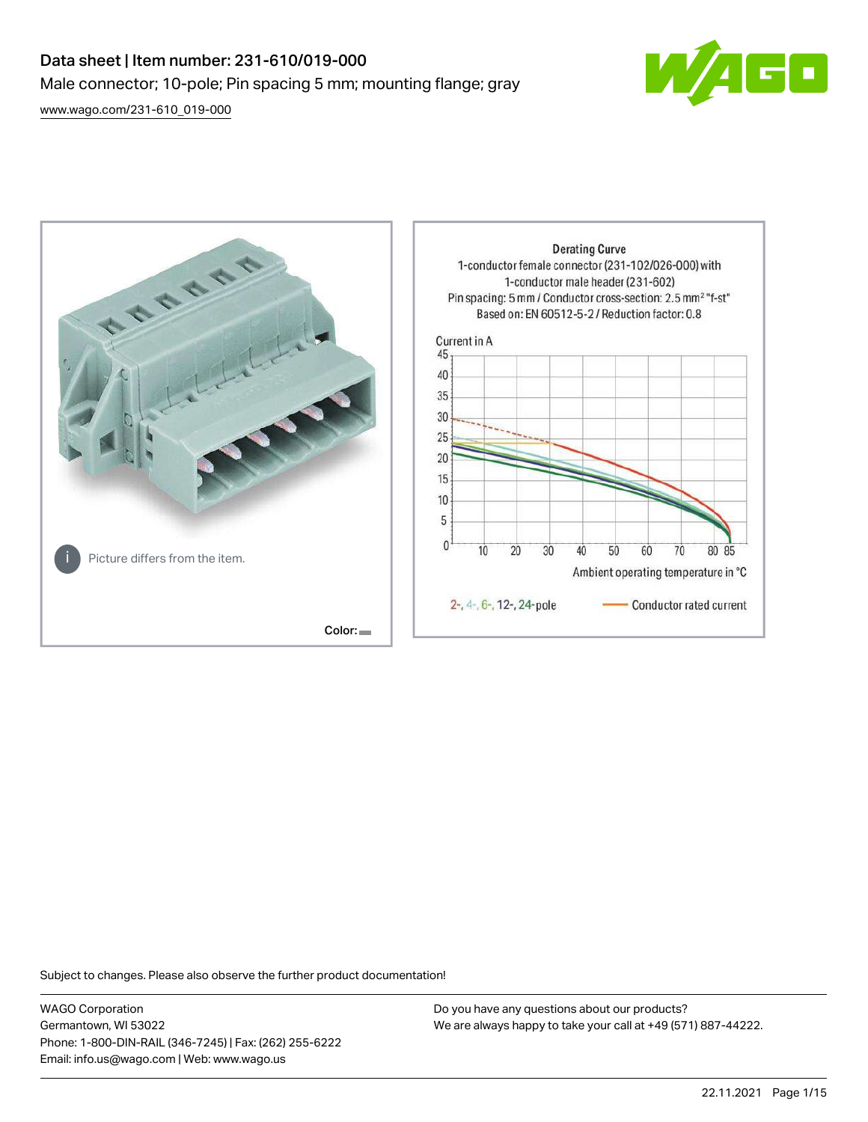# Data sheet | Item number: 231-610/019-000 Male connector; 10-pole; Pin spacing 5 mm; mounting flange; gray

[www.wago.com/231-610\\_019-000](http://www.wago.com/231-610_019-000)





Subject to changes. Please also observe the further product documentation!

WAGO Corporation Germantown, WI 53022 Phone: 1-800-DIN-RAIL (346-7245) | Fax: (262) 255-6222 Email: info.us@wago.com | Web: www.wago.us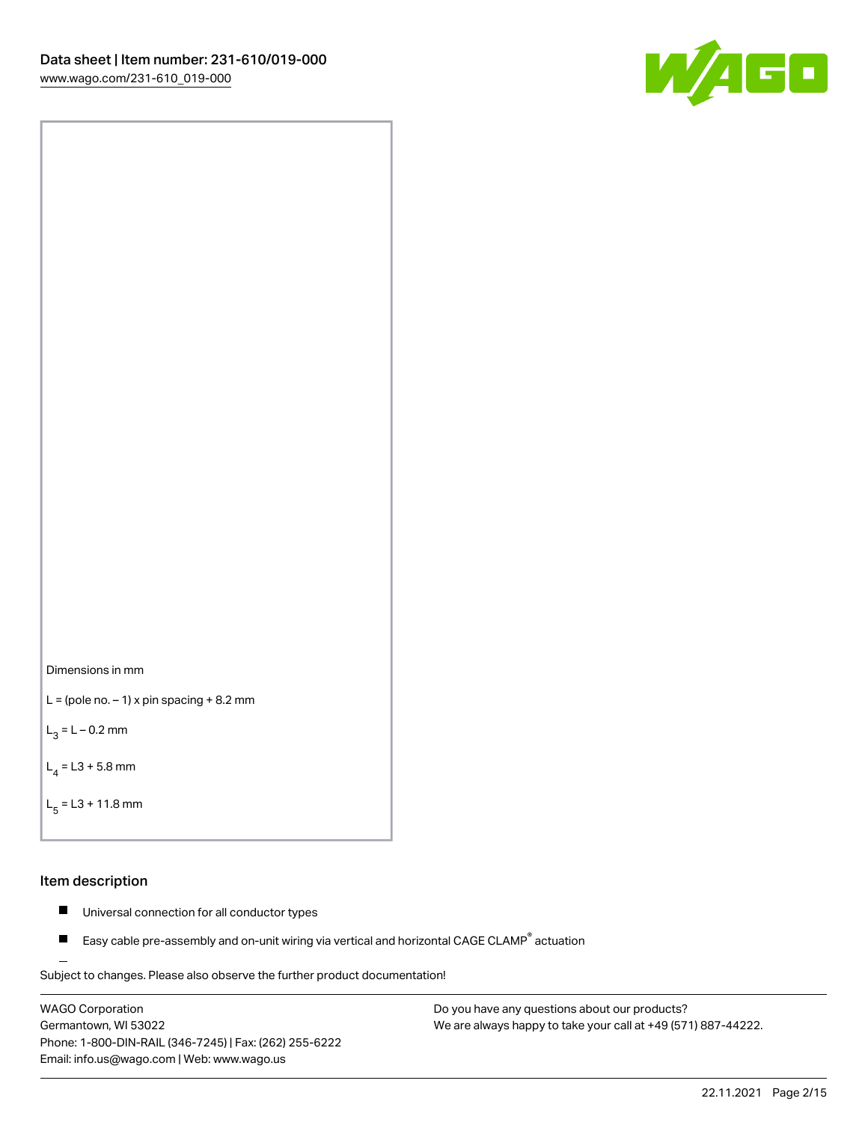



```
L = (pole no. -1) x pin spacing +8.2 mm
```
 $L_3 = L - 0.2$  mm

```
L_4 = L3 + 5.8 mm
```

```
L_{\rm g} = L3 + 11.8 mm
```
#### Item description

- $\blacksquare$ Universal connection for all conductor types
- Easy cable pre-assembly and on-unit wiring via vertical and horizontal CAGE CLAMP<sup>®</sup> actuation  $\blacksquare$

Subject to changes. Please also observe the further product documentation! For wire-to-wire and board-to-wire connections

WAGO Corporation Germantown, WI 53022 Phone: 1-800-DIN-RAIL (346-7245) | Fax: (262) 255-6222 Email: info.us@wago.com | Web: www.wago.us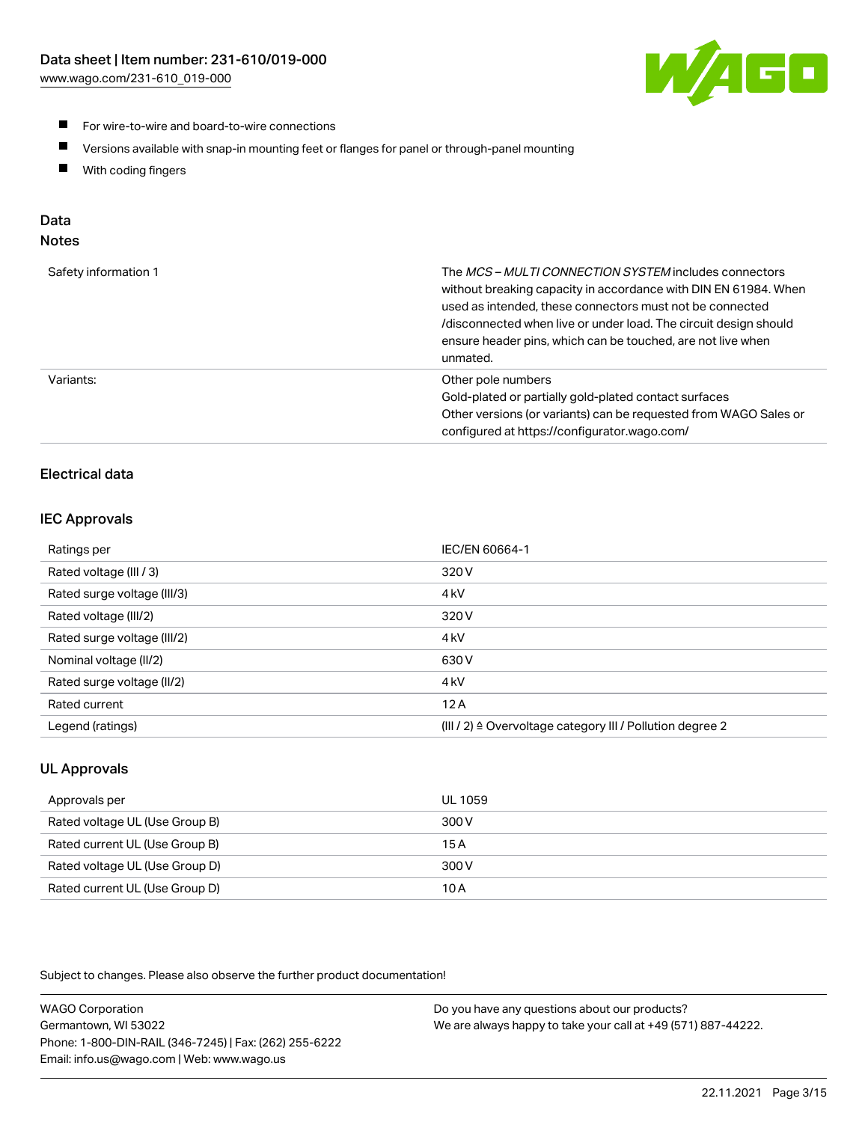

- For wire-to-wire and board-to-wire connections
- $\blacksquare$ Versions available with snap-in mounting feet or flanges for panel or through-panel mounting
- $\blacksquare$ With coding fingers

# Data

### Notes

| Safety information 1 | The MCS-MULTI CONNECTION SYSTEM includes connectors<br>without breaking capacity in accordance with DIN EN 61984. When<br>used as intended, these connectors must not be connected<br>/disconnected when live or under load. The circuit design should<br>ensure header pins, which can be touched, are not live when<br>unmated. |
|----------------------|-----------------------------------------------------------------------------------------------------------------------------------------------------------------------------------------------------------------------------------------------------------------------------------------------------------------------------------|
| Variants:            | Other pole numbers<br>Gold-plated or partially gold-plated contact surfaces<br>Other versions (or variants) can be requested from WAGO Sales or<br>configured at https://configurator.wago.com/                                                                                                                                   |

# Electrical data

#### IEC Approvals

| Ratings per                 | IEC/EN 60664-1                                                        |
|-----------------------------|-----------------------------------------------------------------------|
| Rated voltage (III / 3)     | 320 V                                                                 |
| Rated surge voltage (III/3) | 4 <sub>k</sub> V                                                      |
| Rated voltage (III/2)       | 320 V                                                                 |
| Rated surge voltage (III/2) | 4 <sub>k</sub> V                                                      |
| Nominal voltage (II/2)      | 630 V                                                                 |
| Rated surge voltage (II/2)  | 4 <sub>k</sub> V                                                      |
| Rated current               | 12A                                                                   |
| Legend (ratings)            | $(III / 2)$ $\triangle$ Overvoltage category III / Pollution degree 2 |

## UL Approvals

| Approvals per                  | UL 1059 |
|--------------------------------|---------|
| Rated voltage UL (Use Group B) | 300 V   |
| Rated current UL (Use Group B) | 15 A    |
| Rated voltage UL (Use Group D) | 300 V   |
| Rated current UL (Use Group D) | 10 A    |

Subject to changes. Please also observe the further product documentation!

| <b>WAGO Corporation</b>                                | Do you have any questions about our products?                 |
|--------------------------------------------------------|---------------------------------------------------------------|
| Germantown, WI 53022                                   | We are always happy to take your call at +49 (571) 887-44222. |
| Phone: 1-800-DIN-RAIL (346-7245)   Fax: (262) 255-6222 |                                                               |
| Email: info.us@wago.com   Web: www.wago.us             |                                                               |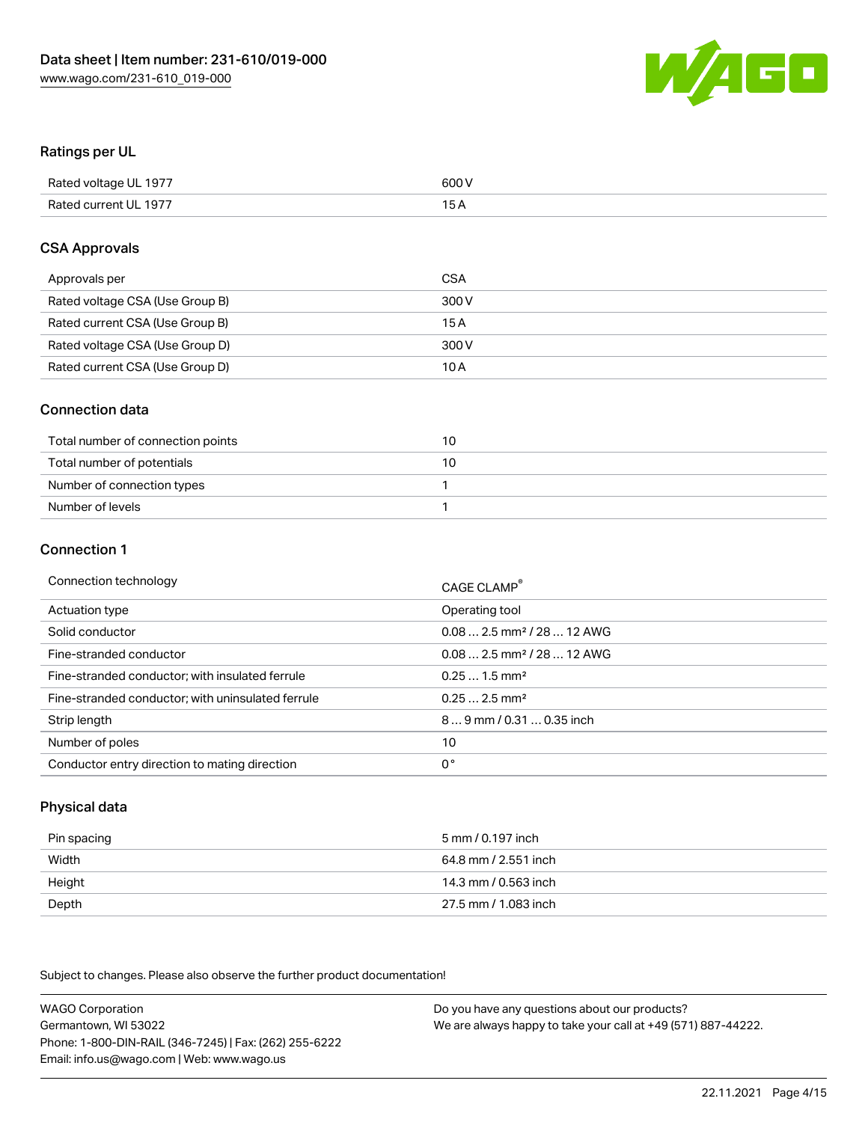

#### Ratings per UL

| Rated voltage UL 1977 | 600 V |
|-----------------------|-------|
| Rated current UL 1977 | 1 E   |

#### CSA Approvals

| Approvals per                   | CSA   |
|---------------------------------|-------|
| Rated voltage CSA (Use Group B) | 300 V |
| Rated current CSA (Use Group B) | 15 A  |
| Rated voltage CSA (Use Group D) | 300 V |
| Rated current CSA (Use Group D) | 10 A  |

#### Connection data

| Total number of connection points | 10 |
|-----------------------------------|----|
| Total number of potentials        | 10 |
| Number of connection types        |    |
| Number of levels                  |    |

#### Connection 1

| Connection technology                             | CAGE CLAMP <sup>®</sup>                |
|---------------------------------------------------|----------------------------------------|
| Actuation type                                    | Operating tool                         |
| Solid conductor                                   | $0.082.5$ mm <sup>2</sup> / 28  12 AWG |
| Fine-stranded conductor                           | $0.082.5$ mm <sup>2</sup> / 28  12 AWG |
| Fine-stranded conductor; with insulated ferrule   | $0.251.5$ mm <sup>2</sup>              |
| Fine-stranded conductor; with uninsulated ferrule | $0.252.5$ mm <sup>2</sup>              |
| Strip length                                      | 89 mm / 0.31  0.35 inch                |
| Number of poles                                   | 10                                     |
| Conductor entry direction to mating direction     | 0°                                     |

### Physical data

| Pin spacing | 5 mm / 0.197 inch    |
|-------------|----------------------|
| Width       | 64.8 mm / 2.551 inch |
| Height      | 14.3 mm / 0.563 inch |
| Depth       | 27.5 mm / 1.083 inch |

Subject to changes. Please also observe the further product documentation!

WAGO Corporation Germantown, WI 53022 Phone: 1-800-DIN-RAIL (346-7245) | Fax: (262) 255-6222 Email: info.us@wago.com | Web: www.wago.us Do you have any questions about our products? We are always happy to take your call at +49 (571) 887-44222.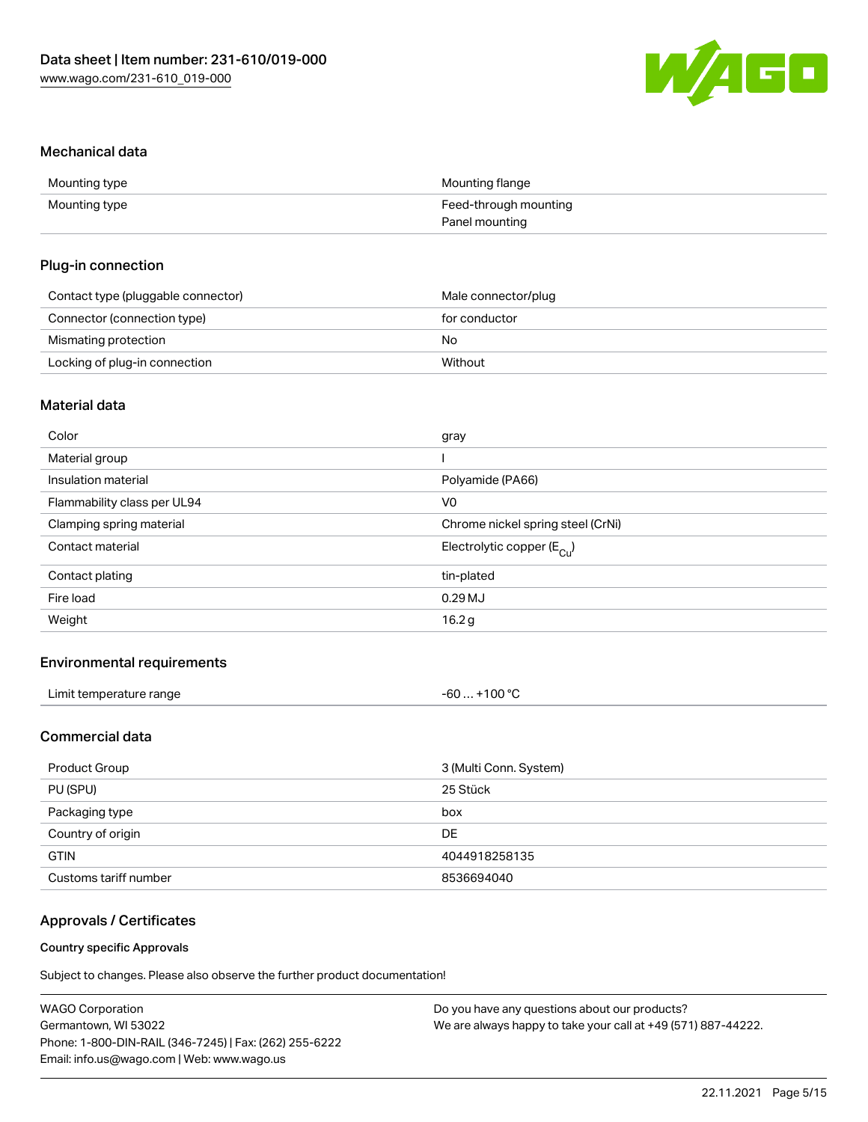

#### Mechanical data

| Mounting type | Mounting flange       |
|---------------|-----------------------|
| Mounting type | Feed-through mounting |
|               | Panel mounting        |

#### Plug-in connection

| Contact type (pluggable connector) | Male connector/plug |
|------------------------------------|---------------------|
| Connector (connection type)        | for conductor       |
| Mismating protection               | No                  |
| Locking of plug-in connection      | Without             |

## Material data

| Color                       | gray                                  |
|-----------------------------|---------------------------------------|
| Material group              |                                       |
| Insulation material         | Polyamide (PA66)                      |
| Flammability class per UL94 | V0                                    |
| Clamping spring material    | Chrome nickel spring steel (CrNi)     |
| Contact material            | Electrolytic copper $(E_{\text{Cl}})$ |
| Contact plating             | tin-plated                            |
| Fire load                   | $0.29$ MJ                             |
| Weight                      | 16.2 <sub>g</sub>                     |
|                             |                                       |

#### Environmental requirements

| Limit temperature range | +100 $^{\circ}$ C<br>-60 |
|-------------------------|--------------------------|
|-------------------------|--------------------------|

### Commercial data

| Product Group         | 3 (Multi Conn. System) |
|-----------------------|------------------------|
| PU (SPU)              | 25 Stück               |
| Packaging type        | box                    |
| Country of origin     | DE.                    |
| <b>GTIN</b>           | 4044918258135          |
| Customs tariff number | 8536694040             |

## Approvals / Certificates

#### Country specific Approvals

Subject to changes. Please also observe the further product documentation!

| <b>WAGO Corporation</b>                                | Do you have any questions about our products?                 |
|--------------------------------------------------------|---------------------------------------------------------------|
| Germantown, WI 53022                                   | We are always happy to take your call at +49 (571) 887-44222. |
| Phone: 1-800-DIN-RAIL (346-7245)   Fax: (262) 255-6222 |                                                               |
| Email: info.us@wago.com   Web: www.wago.us             |                                                               |
|                                                        |                                                               |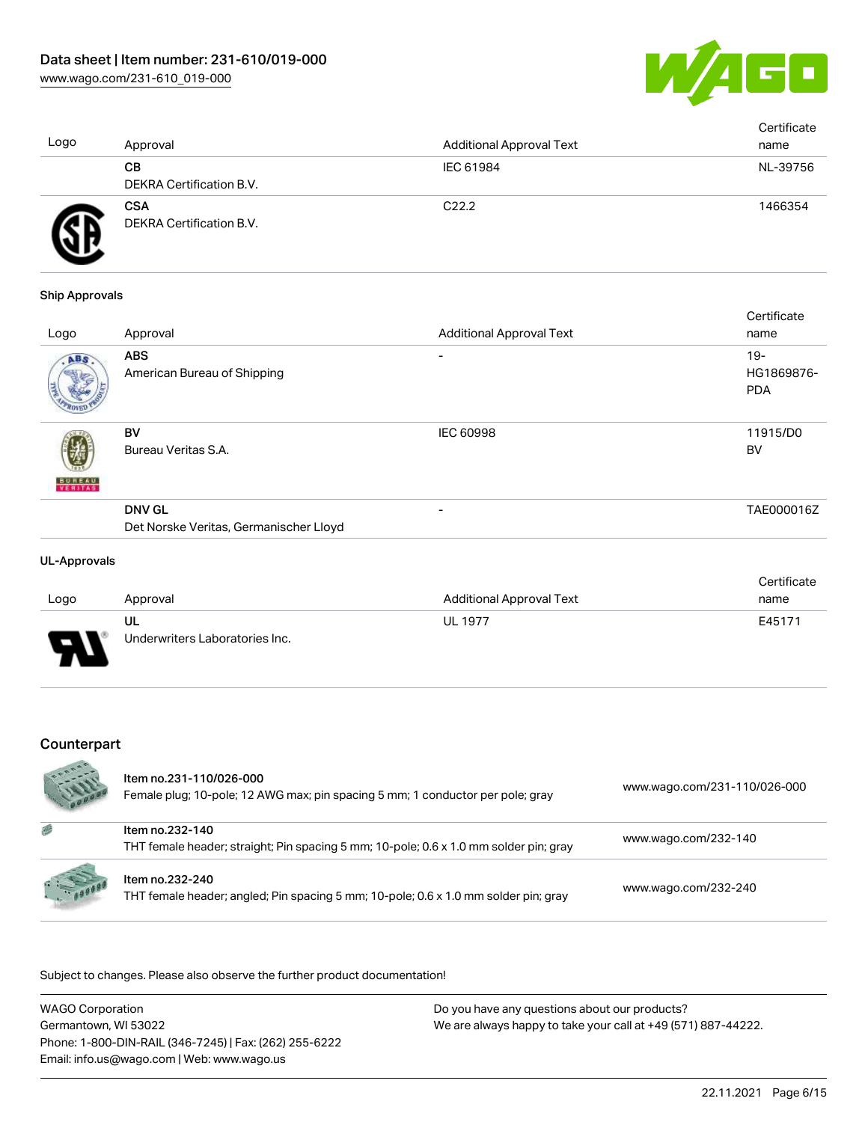

| Logo | Approval                               | <b>Additional Approval Text</b> | Certificate<br>name |
|------|----------------------------------------|---------------------------------|---------------------|
|      | CВ<br>DEKRA Certification B.V.         | IEC 61984                       | NL-39756            |
|      | <b>CSA</b><br>DEKRA Certification B.V. | C <sub>22.2</sub>               | 1466354             |

#### Ship Approvals

| Approval                                                | <b>Additional Approval Text</b> | Certificate<br>name                |
|---------------------------------------------------------|---------------------------------|------------------------------------|
| <b>ABS</b><br>American Bureau of Shipping               | $\overline{\phantom{0}}$        | $19 -$<br>HG1869876-<br><b>PDA</b> |
| BV<br>Bureau Veritas S.A.                               | <b>IEC 60998</b>                | 11915/D0<br><b>BV</b>              |
| <b>DNV GL</b><br>Det Norske Veritas, Germanischer Lloyd | -                               | TAE000016Z                         |
|                                                         |                                 |                                    |

#### UL-Approvals

|      |                                |                          | Certificate |
|------|--------------------------------|--------------------------|-------------|
| Logo | Approval                       | Additional Approval Text | name        |
|      | UL                             | <b>UL 1977</b>           | E45171      |
| J    | Underwriters Laboratories Inc. |                          |             |

## Counterpart

|          | Item no.231-110/026-000<br>Female plug; 10-pole; 12 AWG max; pin spacing 5 mm; 1 conductor per pole; gray | www.wago.com/231-110/026-000 |
|----------|-----------------------------------------------------------------------------------------------------------|------------------------------|
| 感        | Item no.232-140<br>THT female header; straight; Pin spacing 5 mm; 10-pole; 0.6 x 1.0 mm solder pin; gray  | www.wago.com/232-140         |
| 1.100000 | ltem no.232-240<br>THT female header; angled; Pin spacing 5 mm; 10-pole; 0.6 x 1.0 mm solder pin; gray    | www.wago.com/232-240         |

.<br>Subject to changes. Please also observe the further product documentation!

| <b>WAGO Corporation</b>                                | Do you have any questions about our products?                 |
|--------------------------------------------------------|---------------------------------------------------------------|
| Germantown, WI 53022                                   | We are always happy to take your call at +49 (571) 887-44222. |
| Phone: 1-800-DIN-RAIL (346-7245)   Fax: (262) 255-6222 |                                                               |
| Email: info.us@wago.com   Web: www.wago.us             |                                                               |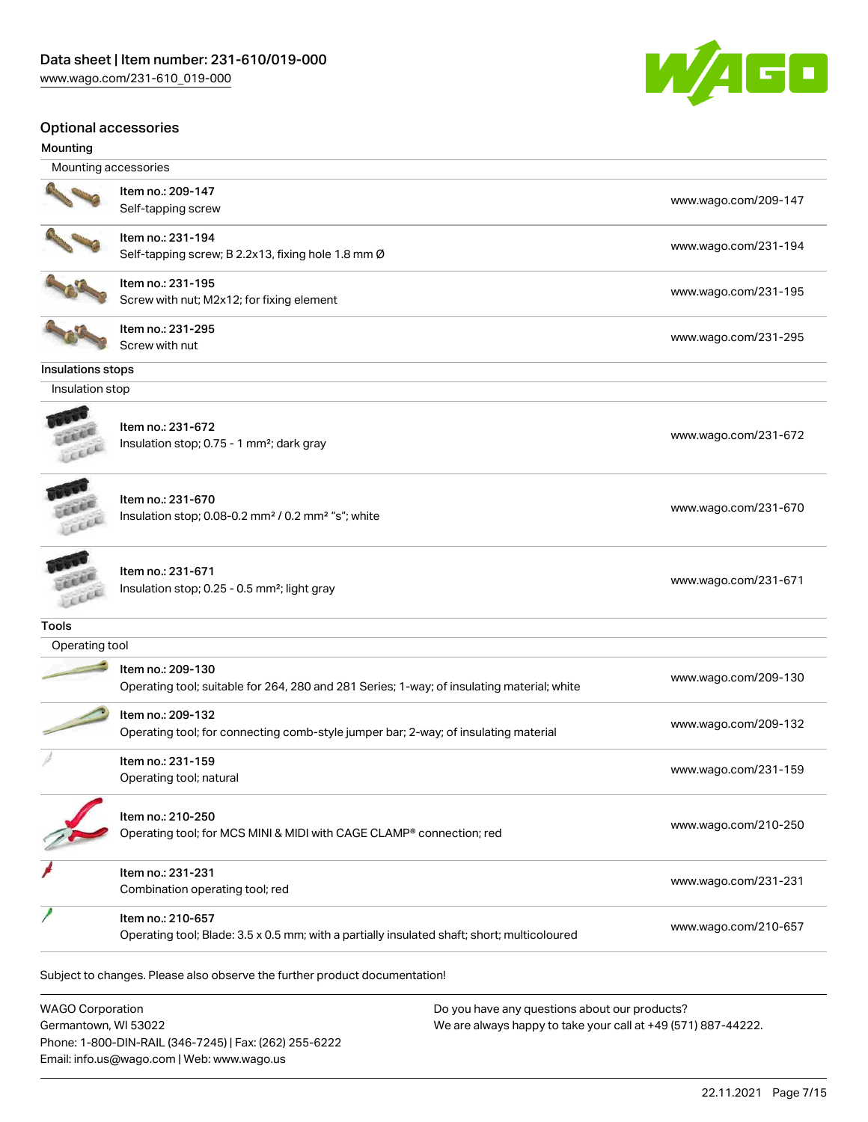

#### Optional accessories

| Mounting          |                                                                                                                  |                      |
|-------------------|------------------------------------------------------------------------------------------------------------------|----------------------|
|                   | Mounting accessories                                                                                             |                      |
|                   | Item no.: 209-147<br>Self-tapping screw                                                                          | www.wago.com/209-147 |
|                   | Item no.: 231-194<br>Self-tapping screw; B 2.2x13, fixing hole 1.8 mm Ø                                          | www.wago.com/231-194 |
|                   | Item no.: 231-195<br>Screw with nut; M2x12; for fixing element                                                   | www.wago.com/231-195 |
|                   | Item no.: 231-295<br>Screw with nut                                                                              | www.wago.com/231-295 |
| Insulations stops |                                                                                                                  |                      |
| Insulation stop   |                                                                                                                  |                      |
| Lecci             | Item no.: 231-672<br>Insulation stop; 0.75 - 1 mm <sup>2</sup> ; dark gray                                       | www.wago.com/231-672 |
| LEER              | Item no.: 231-670<br>Insulation stop; 0.08-0.2 mm <sup>2</sup> / 0.2 mm <sup>2</sup> "s"; white                  | www.wago.com/231-670 |
| LEEE              | Item no.: 231-671<br>Insulation stop; 0.25 - 0.5 mm <sup>2</sup> ; light gray                                    | www.wago.com/231-671 |
| <b>Tools</b>      |                                                                                                                  |                      |
| Operating tool    |                                                                                                                  |                      |
|                   | Item no.: 209-130<br>Operating tool; suitable for 264, 280 and 281 Series; 1-way; of insulating material; white  | www.wago.com/209-130 |
|                   | Item no.: 209-132<br>Operating tool; for connecting comb-style jumper bar; 2-way; of insulating material         | www.wago.com/209-132 |
|                   | Item no.: 231-159<br>Operating tool; natural                                                                     | www.wago.com/231-159 |
|                   | Item no.: 210-250<br>Operating tool; for MCS MINI & MIDI with CAGE CLAMP® connection; red                        | www.wago.com/210-250 |
|                   | Item no.: 231-231<br>Combination operating tool; red                                                             | www.wago.com/231-231 |
|                   | Item no.: 210-657<br>Operating tool; Blade: 3.5 x 0.5 mm; with a partially insulated shaft; short; multicoloured | www.wago.com/210-657 |

| <b>WAGO Corporation</b>                                |
|--------------------------------------------------------|
| Germantown, WI 53022                                   |
| Phone: 1-800-DIN-RAIL (346-7245)   Fax: (262) 255-6222 |
| Email: info.us@wago.com   Web: www.wago.us             |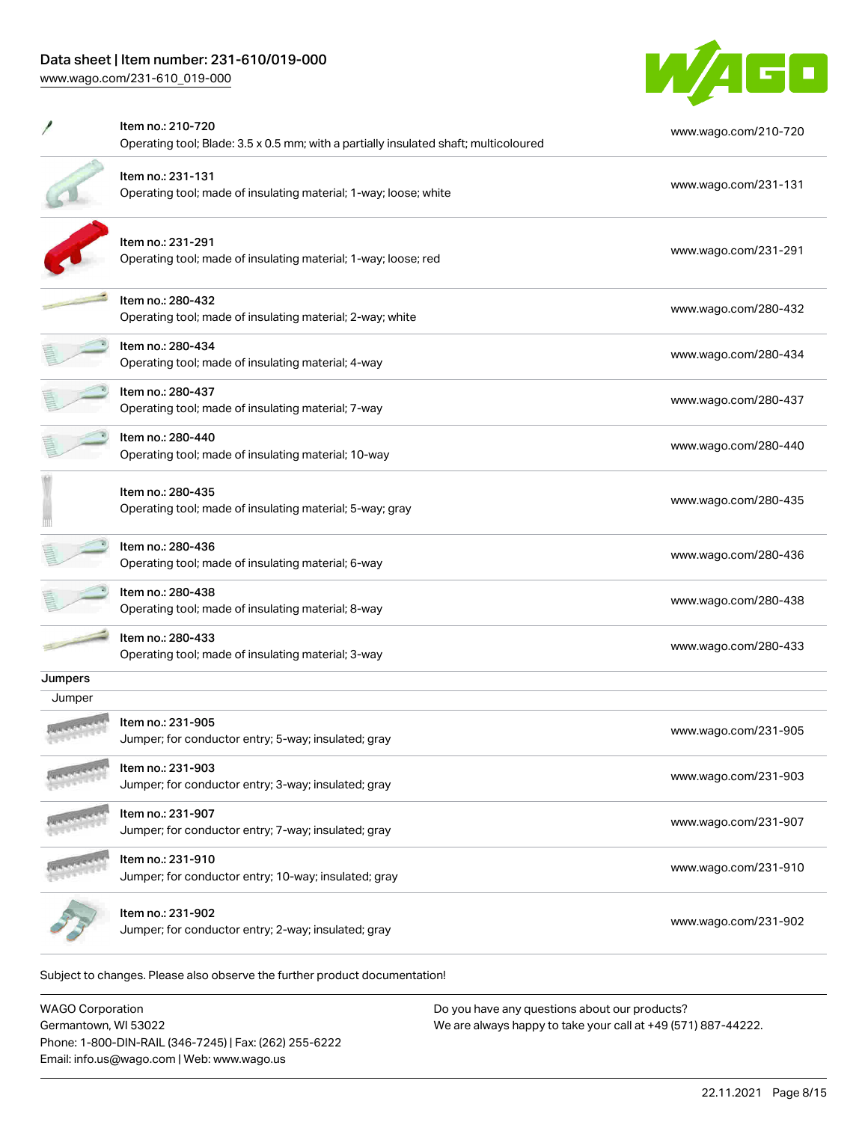[www.wago.com/231-610\\_019-000](http://www.wago.com/231-610_019-000)



|         | Item no.: 210-720<br>Operating tool; Blade: 3.5 x 0.5 mm; with a partially insulated shaft; multicoloured | www.wago.com/210-720 |
|---------|-----------------------------------------------------------------------------------------------------------|----------------------|
|         | Item no.: 231-131<br>Operating tool; made of insulating material; 1-way; loose; white                     | www.wago.com/231-131 |
|         | Item no.: 231-291<br>Operating tool; made of insulating material; 1-way; loose; red                       | www.wago.com/231-291 |
|         | Item no.: 280-432<br>Operating tool; made of insulating material; 2-way; white                            | www.wago.com/280-432 |
|         | Item no.: 280-434<br>Operating tool; made of insulating material; 4-way                                   | www.wago.com/280-434 |
|         | Item no.: 280-437<br>Operating tool; made of insulating material; 7-way                                   | www.wago.com/280-437 |
|         | Item no.: 280-440<br>Operating tool; made of insulating material; 10-way                                  | www.wago.com/280-440 |
|         | Item no.: 280-435<br>Operating tool; made of insulating material; 5-way; gray                             | www.wago.com/280-435 |
|         | Item no.: 280-436<br>Operating tool; made of insulating material; 6-way                                   | www.wago.com/280-436 |
|         | Item no.: 280-438<br>Operating tool; made of insulating material; 8-way                                   | www.wago.com/280-438 |
|         | Item no.: 280-433<br>Operating tool; made of insulating material; 3-way                                   | www.wago.com/280-433 |
| Jumpers |                                                                                                           |                      |
| Jumper  |                                                                                                           |                      |
|         | ltem no.: 231-905<br>Jumper; for conductor entry; 5-way; insulated; gray                                  | www.wago.com/231-905 |
|         | Item no.: 231-903<br>Jumper; for conductor entry; 3-way; insulated; gray                                  | www.wago.com/231-903 |
|         | Item no.: 231-907<br>Jumper; for conductor entry; 7-way; insulated; gray                                  | www.wago.com/231-907 |
|         | Item no.: 231-910<br>Jumper; for conductor entry; 10-way; insulated; gray                                 | www.wago.com/231-910 |
|         | Item no.: 231-902<br>Jumper; for conductor entry; 2-way; insulated; gray                                  | www.wago.com/231-902 |
|         |                                                                                                           |                      |

Subject to changes. Please also observe the further product documentation!

WAGO Corporation Germantown, WI 53022 Phone: 1-800-DIN-RAIL (346-7245) | Fax: (262) 255-6222 Email: info.us@wago.com | Web: www.wago.us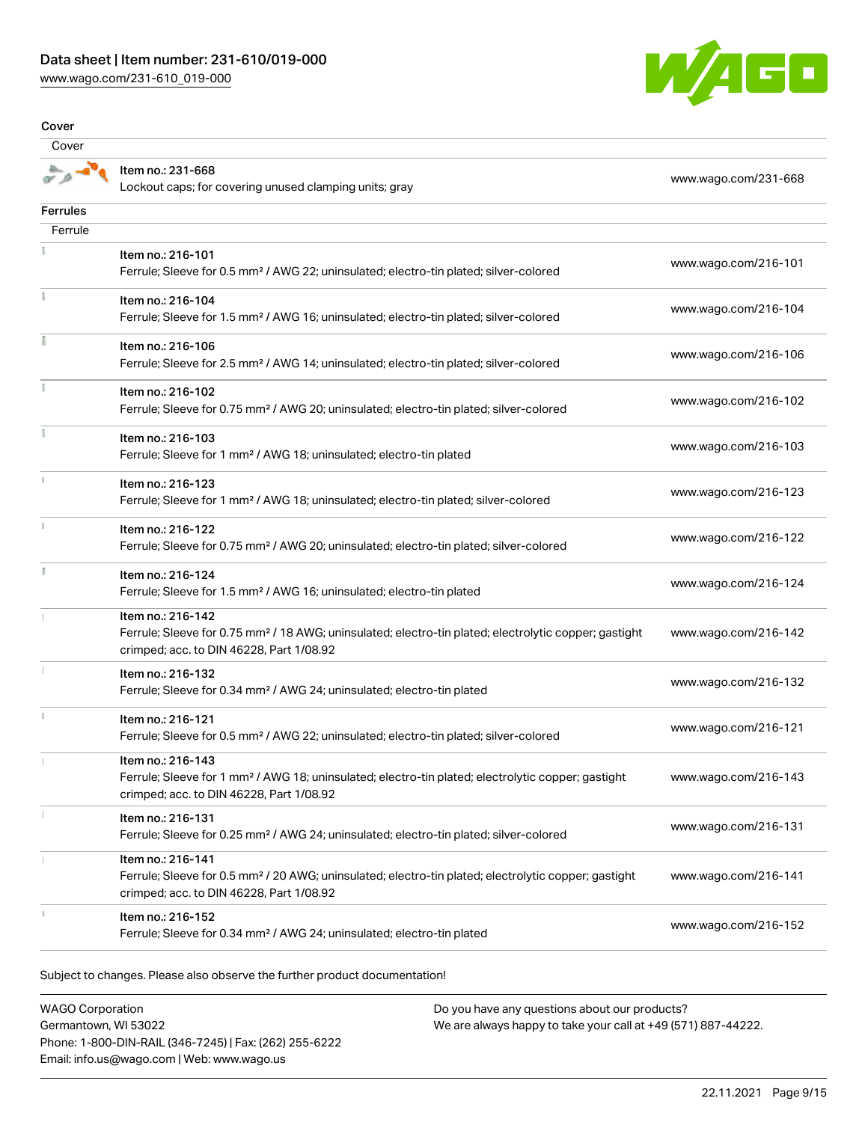[www.wago.com/231-610\\_019-000](http://www.wago.com/231-610_019-000)



Cover

| Cover           |                                                                                                                                                                                    |                      |
|-----------------|------------------------------------------------------------------------------------------------------------------------------------------------------------------------------------|----------------------|
|                 | Item no.: 231-668<br>Lockout caps; for covering unused clamping units; gray                                                                                                        | www.wago.com/231-668 |
| <b>Ferrules</b> |                                                                                                                                                                                    |                      |
| Ferrule         |                                                                                                                                                                                    |                      |
|                 | Item no.: 216-101<br>Ferrule; Sleeve for 0.5 mm <sup>2</sup> / AWG 22; uninsulated; electro-tin plated; silver-colored                                                             | www.wago.com/216-101 |
| Ť               | Item no.: 216-104<br>Ferrule; Sleeve for 1.5 mm <sup>2</sup> / AWG 16; uninsulated; electro-tin plated; silver-colored                                                             | www.wago.com/216-104 |
|                 | Item no.: 216-106<br>Ferrule; Sleeve for 2.5 mm <sup>2</sup> / AWG 14; uninsulated; electro-tin plated; silver-colored                                                             | www.wago.com/216-106 |
|                 | Item no.: 216-102<br>Ferrule; Sleeve for 0.75 mm <sup>2</sup> / AWG 20; uninsulated; electro-tin plated; silver-colored                                                            | www.wago.com/216-102 |
|                 | Item no.: 216-103<br>Ferrule; Sleeve for 1 mm <sup>2</sup> / AWG 18; uninsulated; electro-tin plated                                                                               | www.wago.com/216-103 |
|                 | Item no.: 216-123<br>Ferrule; Sleeve for 1 mm <sup>2</sup> / AWG 18; uninsulated; electro-tin plated; silver-colored                                                               | www.wago.com/216-123 |
|                 | Item no.: 216-122<br>Ferrule; Sleeve for 0.75 mm <sup>2</sup> / AWG 20; uninsulated; electro-tin plated; silver-colored                                                            | www.wago.com/216-122 |
|                 | Item no.: 216-124<br>Ferrule; Sleeve for 1.5 mm <sup>2</sup> / AWG 16; uninsulated; electro-tin plated                                                                             | www.wago.com/216-124 |
|                 | Item no.: 216-142<br>Ferrule; Sleeve for 0.75 mm <sup>2</sup> / 18 AWG; uninsulated; electro-tin plated; electrolytic copper; gastight<br>crimped; acc. to DIN 46228, Part 1/08.92 | www.wago.com/216-142 |
|                 | Item no.: 216-132<br>Ferrule; Sleeve for 0.34 mm <sup>2</sup> / AWG 24; uninsulated; electro-tin plated                                                                            | www.wago.com/216-132 |
|                 | Item no.: 216-121<br>Ferrule; Sleeve for 0.5 mm <sup>2</sup> / AWG 22; uninsulated; electro-tin plated; silver-colored                                                             | www.wago.com/216-121 |
|                 | Item no.: 216-143<br>Ferrule; Sleeve for 1 mm <sup>2</sup> / AWG 18; uninsulated; electro-tin plated; electrolytic copper; gastight<br>crimped; acc. to DIN 46228, Part 1/08.92    | www.wago.com/216-143 |
|                 | Item no.: 216-131<br>Ferrule; Sleeve for 0.25 mm <sup>2</sup> / AWG 24; uninsulated; electro-tin plated; silver-colored                                                            | www.wago.com/216-131 |
|                 | Item no.: 216-141<br>Ferrule; Sleeve for 0.5 mm <sup>2</sup> / 20 AWG; uninsulated; electro-tin plated; electrolytic copper; gastight<br>crimped; acc. to DIN 46228, Part 1/08.92  | www.wago.com/216-141 |
|                 | Item no.: 216-152<br>Ferrule; Sleeve for 0.34 mm <sup>2</sup> / AWG 24; uninsulated; electro-tin plated                                                                            | www.wago.com/216-152 |
|                 |                                                                                                                                                                                    |                      |

Subject to changes. Please also observe the further product documentation!

WAGO Corporation Germantown, WI 53022 Phone: 1-800-DIN-RAIL (346-7245) | Fax: (262) 255-6222 Email: info.us@wago.com | Web: www.wago.us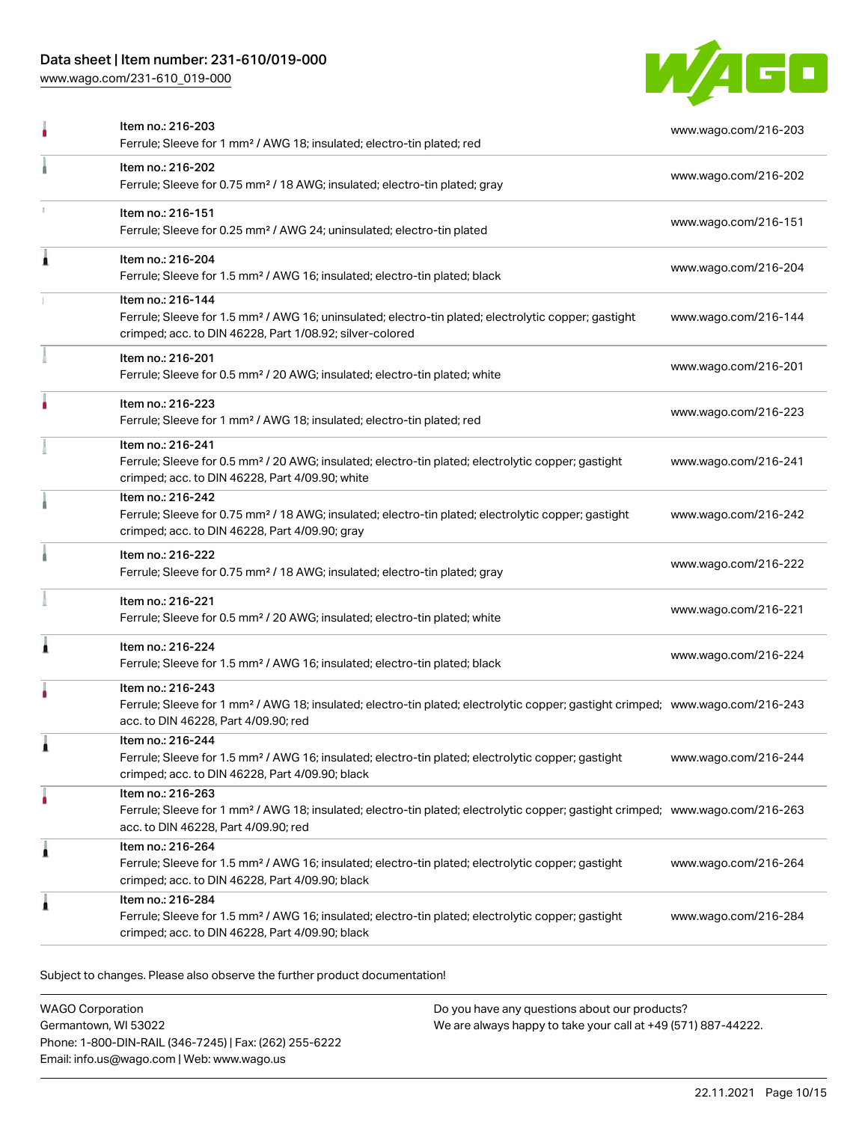[www.wago.com/231-610\\_019-000](http://www.wago.com/231-610_019-000)



|   | Item no.: 216-203<br>Ferrule; Sleeve for 1 mm <sup>2</sup> / AWG 18; insulated; electro-tin plated; red                                                                                                 | www.wago.com/216-203 |
|---|---------------------------------------------------------------------------------------------------------------------------------------------------------------------------------------------------------|----------------------|
|   | Item no.: 216-202<br>Ferrule; Sleeve for 0.75 mm <sup>2</sup> / 18 AWG; insulated; electro-tin plated; gray                                                                                             | www.wago.com/216-202 |
|   | Item no.: 216-151<br>Ferrule; Sleeve for 0.25 mm <sup>2</sup> / AWG 24; uninsulated; electro-tin plated                                                                                                 | www.wago.com/216-151 |
| 1 | Item no.: 216-204<br>Ferrule; Sleeve for 1.5 mm <sup>2</sup> / AWG 16; insulated; electro-tin plated; black                                                                                             | www.wago.com/216-204 |
|   | Item no.: 216-144<br>Ferrule; Sleeve for 1.5 mm <sup>2</sup> / AWG 16; uninsulated; electro-tin plated; electrolytic copper; gastight<br>crimped; acc. to DIN 46228, Part 1/08.92; silver-colored       | www.wago.com/216-144 |
|   | Item no.: 216-201<br>Ferrule; Sleeve for 0.5 mm <sup>2</sup> / 20 AWG; insulated; electro-tin plated; white                                                                                             | www.wago.com/216-201 |
|   | Item no.: 216-223<br>Ferrule; Sleeve for 1 mm <sup>2</sup> / AWG 18; insulated; electro-tin plated; red                                                                                                 | www.wago.com/216-223 |
|   | Item no.: 216-241<br>Ferrule; Sleeve for 0.5 mm <sup>2</sup> / 20 AWG; insulated; electro-tin plated; electrolytic copper; gastight<br>crimped; acc. to DIN 46228, Part 4/09.90; white                  | www.wago.com/216-241 |
|   | Item no.: 216-242<br>Ferrule; Sleeve for 0.75 mm <sup>2</sup> / 18 AWG; insulated; electro-tin plated; electrolytic copper; gastight<br>crimped; acc. to DIN 46228, Part 4/09.90; gray                  | www.wago.com/216-242 |
|   | Item no.: 216-222<br>Ferrule; Sleeve for 0.75 mm <sup>2</sup> / 18 AWG; insulated; electro-tin plated; gray                                                                                             | www.wago.com/216-222 |
|   | Item no.: 216-221<br>Ferrule; Sleeve for 0.5 mm <sup>2</sup> / 20 AWG; insulated; electro-tin plated; white                                                                                             | www.wago.com/216-221 |
| Â | Item no.: 216-224<br>Ferrule; Sleeve for 1.5 mm <sup>2</sup> / AWG 16; insulated; electro-tin plated; black                                                                                             | www.wago.com/216-224 |
|   | Item no.: 216-243<br>Ferrule; Sleeve for 1 mm <sup>2</sup> / AWG 18; insulated; electro-tin plated; electrolytic copper; gastight crimped; www.wago.com/216-243<br>acc. to DIN 46228, Part 4/09.90; red |                      |
|   | Item no.: 216-244<br>Ferrule; Sleeve for 1.5 mm <sup>2</sup> / AWG 16; insulated; electro-tin plated; electrolytic copper; gastight<br>crimped; acc. to DIN 46228, Part 4/09.90; black                  | www.wago.com/216-244 |
|   | Item no.: 216-263<br>Ferrule; Sleeve for 1 mm <sup>2</sup> / AWG 18; insulated; electro-tin plated; electrolytic copper; gastight crimped; www.wago.com/216-263<br>acc. to DIN 46228, Part 4/09.90; red |                      |
| 1 | Item no.: 216-264<br>Ferrule; Sleeve for 1.5 mm <sup>2</sup> / AWG 16; insulated; electro-tin plated; electrolytic copper; gastight<br>crimped; acc. to DIN 46228, Part 4/09.90; black                  | www.wago.com/216-264 |
|   | Item no.: 216-284<br>Ferrule; Sleeve for 1.5 mm <sup>2</sup> / AWG 16; insulated; electro-tin plated; electrolytic copper; gastight<br>crimped; acc. to DIN 46228, Part 4/09.90; black                  | www.wago.com/216-284 |
|   |                                                                                                                                                                                                         |                      |

Subject to changes. Please also observe the further product documentation!

WAGO Corporation Germantown, WI 53022 Phone: 1-800-DIN-RAIL (346-7245) | Fax: (262) 255-6222 Email: info.us@wago.com | Web: www.wago.us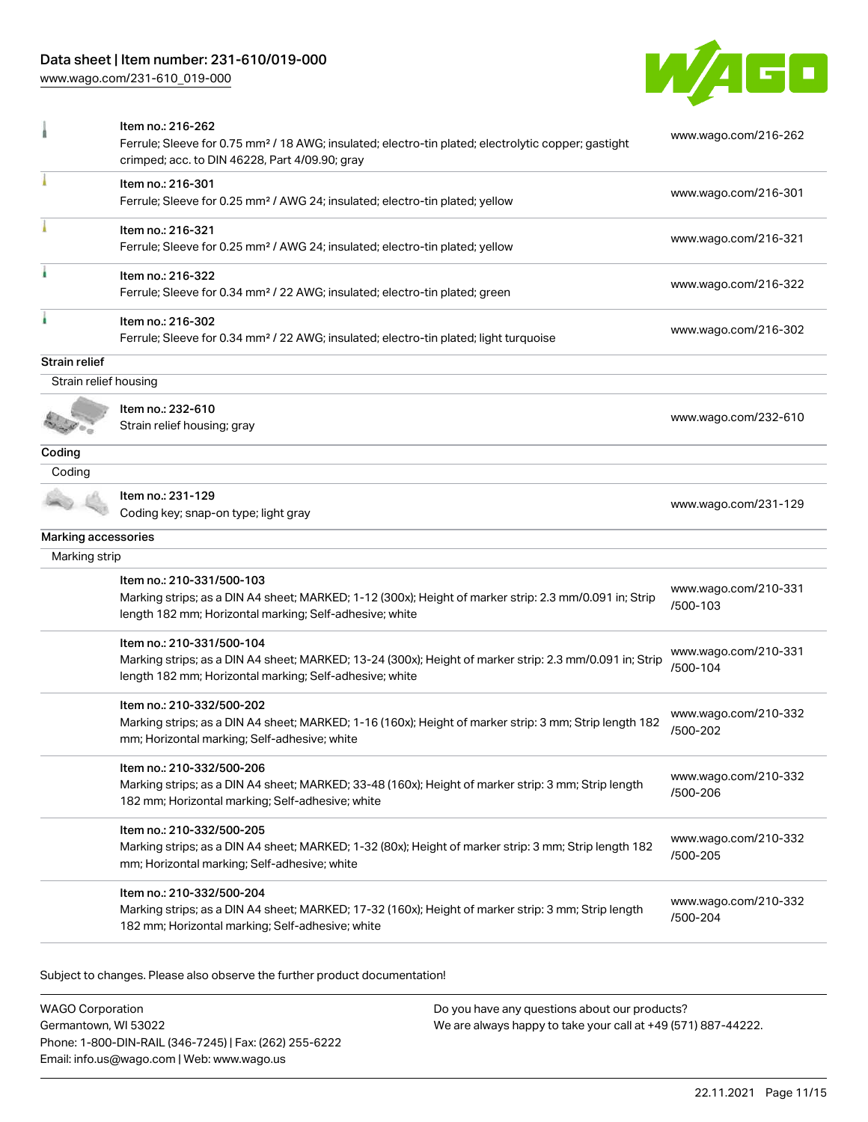[www.wago.com/231-610\\_019-000](http://www.wago.com/231-610_019-000)



|                       | Item no.: 216-262<br>Ferrule; Sleeve for 0.75 mm <sup>2</sup> / 18 AWG; insulated; electro-tin plated; electrolytic copper; gastight<br>crimped; acc. to DIN 46228, Part 4/09.90; gray          | www.wago.com/216-262             |
|-----------------------|-------------------------------------------------------------------------------------------------------------------------------------------------------------------------------------------------|----------------------------------|
|                       | Item no.: 216-301<br>Ferrule; Sleeve for 0.25 mm <sup>2</sup> / AWG 24; insulated; electro-tin plated; yellow                                                                                   | www.wago.com/216-301             |
|                       | Item no.: 216-321<br>Ferrule; Sleeve for 0.25 mm <sup>2</sup> / AWG 24; insulated; electro-tin plated; yellow                                                                                   | www.wago.com/216-321             |
|                       | Item no.: 216-322<br>Ferrule; Sleeve for 0.34 mm <sup>2</sup> / 22 AWG; insulated; electro-tin plated; green                                                                                    | www.wago.com/216-322             |
|                       | Item no.: 216-302<br>Ferrule; Sleeve for 0.34 mm <sup>2</sup> / 22 AWG; insulated; electro-tin plated; light turquoise                                                                          | www.wago.com/216-302             |
| Strain relief         |                                                                                                                                                                                                 |                                  |
| Strain relief housing |                                                                                                                                                                                                 |                                  |
|                       | Item no.: 232-610<br>Strain relief housing; gray                                                                                                                                                | www.wago.com/232-610             |
| Coding                |                                                                                                                                                                                                 |                                  |
| Coding                |                                                                                                                                                                                                 |                                  |
|                       | Item no.: 231-129<br>Coding key; snap-on type; light gray                                                                                                                                       | www.wago.com/231-129             |
| Marking accessories   |                                                                                                                                                                                                 |                                  |
| Marking strip         |                                                                                                                                                                                                 |                                  |
|                       | Item no.: 210-331/500-103<br>Marking strips; as a DIN A4 sheet; MARKED; 1-12 (300x); Height of marker strip: 2.3 mm/0.091 in; Strip<br>length 182 mm; Horizontal marking; Self-adhesive; white  | www.wago.com/210-331<br>/500-103 |
|                       | Item no.: 210-331/500-104<br>Marking strips; as a DIN A4 sheet; MARKED; 13-24 (300x); Height of marker strip: 2.3 mm/0.091 in; Strip<br>length 182 mm; Horizontal marking; Self-adhesive; white | www.wago.com/210-331<br>/500-104 |
|                       | Item no.: 210-332/500-202<br>Marking strips; as a DIN A4 sheet; MARKED; 1-16 (160x); Height of marker strip: 3 mm; Strip length 182<br>mm; Horizontal marking; Self-adhesive; white             | www.wago.com/210-332<br>/500-202 |
|                       | Item no.: 210-332/500-206<br>Marking strips; as a DIN A4 sheet; MARKED; 33-48 (160x); Height of marker strip: 3 mm; Strip length<br>182 mm; Horizontal marking; Self-adhesive; white            | www.wago.com/210-332<br>/500-206 |
|                       | Item no.: 210-332/500-205<br>Marking strips; as a DIN A4 sheet; MARKED; 1-32 (80x); Height of marker strip: 3 mm; Strip length 182<br>mm; Horizontal marking; Self-adhesive; white              | www.wago.com/210-332<br>/500-205 |
|                       | Item no.: 210-332/500-204<br>Marking strips; as a DIN A4 sheet; MARKED; 17-32 (160x); Height of marker strip: 3 mm; Strip length<br>182 mm; Horizontal marking; Self-adhesive; white            | www.wago.com/210-332<br>/500-204 |

Subject to changes. Please also observe the further product documentation!

WAGO Corporation Germantown, WI 53022 Phone: 1-800-DIN-RAIL (346-7245) | Fax: (262) 255-6222 Email: info.us@wago.com | Web: www.wago.us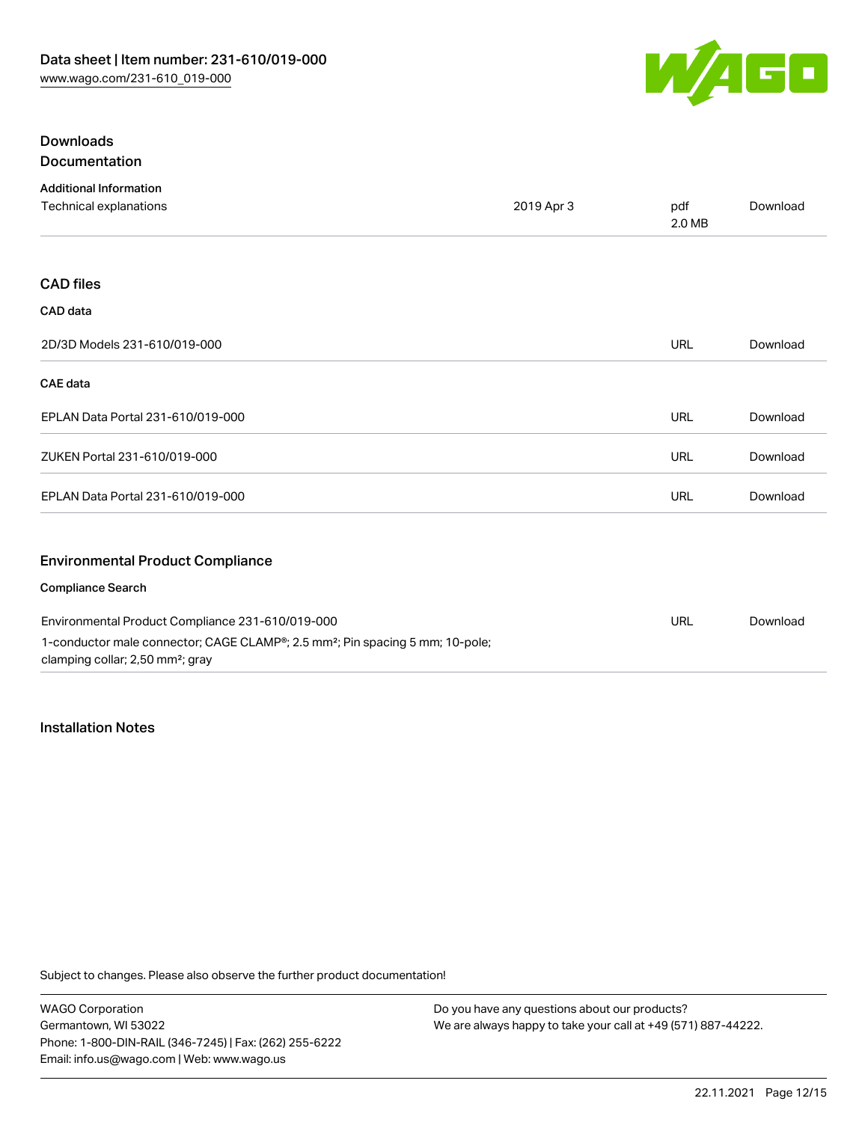

| <b>Downloads</b>                                 |            |               |          |
|--------------------------------------------------|------------|---------------|----------|
| Documentation                                    |            |               |          |
| <b>Additional Information</b>                    |            |               |          |
| Technical explanations                           | 2019 Apr 3 | pdf<br>2.0 MB | Download |
| <b>CAD files</b>                                 |            |               |          |
| CAD data                                         |            |               |          |
| 2D/3D Models 231-610/019-000                     |            | URL           | Download |
| <b>CAE</b> data                                  |            |               |          |
| EPLAN Data Portal 231-610/019-000                |            | URL           | Download |
| ZUKEN Portal 231-610/019-000                     |            | <b>URL</b>    | Download |
| EPLAN Data Portal 231-610/019-000                |            | <b>URL</b>    | Download |
| <b>Environmental Product Compliance</b>          |            |               |          |
| <b>Compliance Search</b>                         |            |               |          |
| Environmental Product Compliance 231-610/019-000 |            | <b>TIRL</b>   | Download |

| Environmental Product Compliance 231-610/019-000                                                       | URL | Download |
|--------------------------------------------------------------------------------------------------------|-----|----------|
| 1-conductor male connector; CAGE CLAMP <sup>®</sup> ; 2.5 mm <sup>2</sup> ; Pin spacing 5 mm; 10-pole; |     |          |
| clamping collar; 2,50 mm <sup>2</sup> ; gray                                                           |     |          |

# Installation Notes

Subject to changes. Please also observe the further product documentation!

WAGO Corporation Germantown, WI 53022 Phone: 1-800-DIN-RAIL (346-7245) | Fax: (262) 255-6222 Email: info.us@wago.com | Web: www.wago.us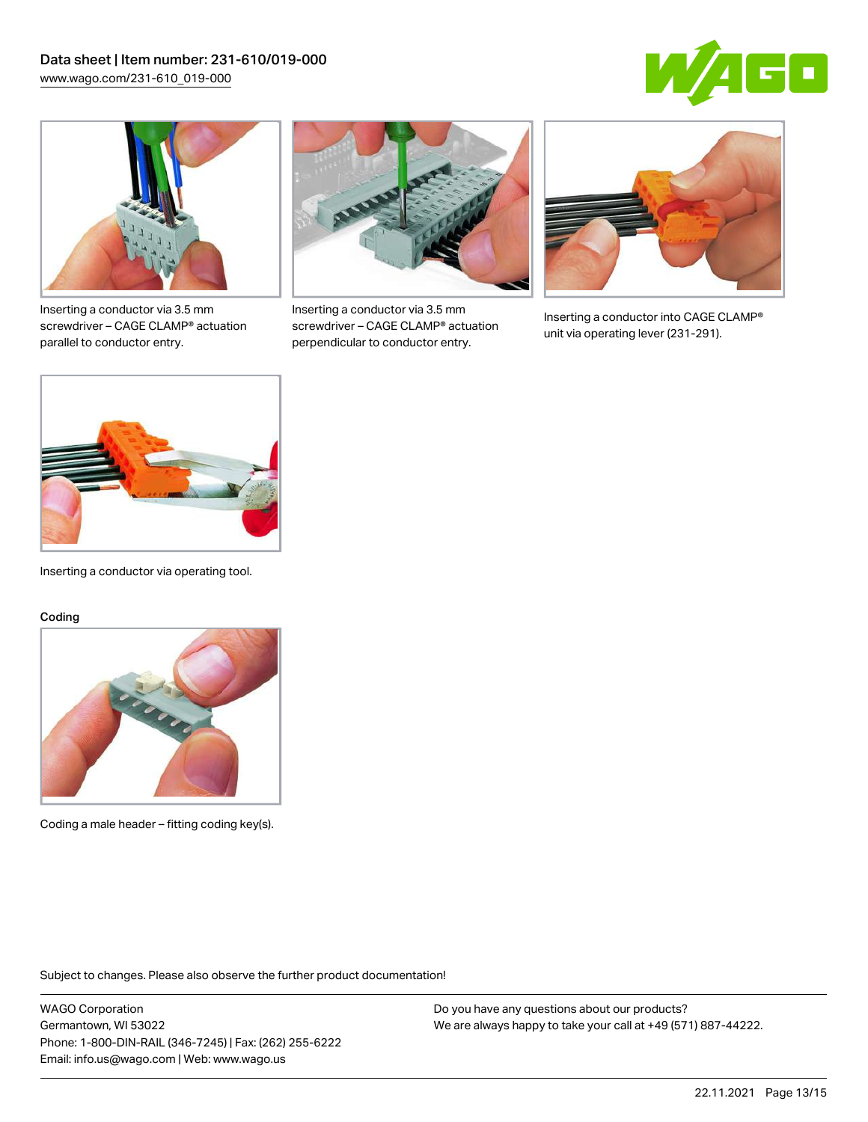



Inserting a conductor via 3.5 mm screwdriver – CAGE CLAMP® actuation parallel to conductor entry.



Inserting a conductor via 3.5 mm screwdriver – CAGE CLAMP® actuation perpendicular to conductor entry.



Inserting a conductor into CAGE CLAMP® unit via operating lever (231-291).



Inserting a conductor via operating tool.

#### Coding



Coding a male header – fitting coding key(s).

Subject to changes. Please also observe the further product documentation!

WAGO Corporation Germantown, WI 53022 Phone: 1-800-DIN-RAIL (346-7245) | Fax: (262) 255-6222 Email: info.us@wago.com | Web: www.wago.us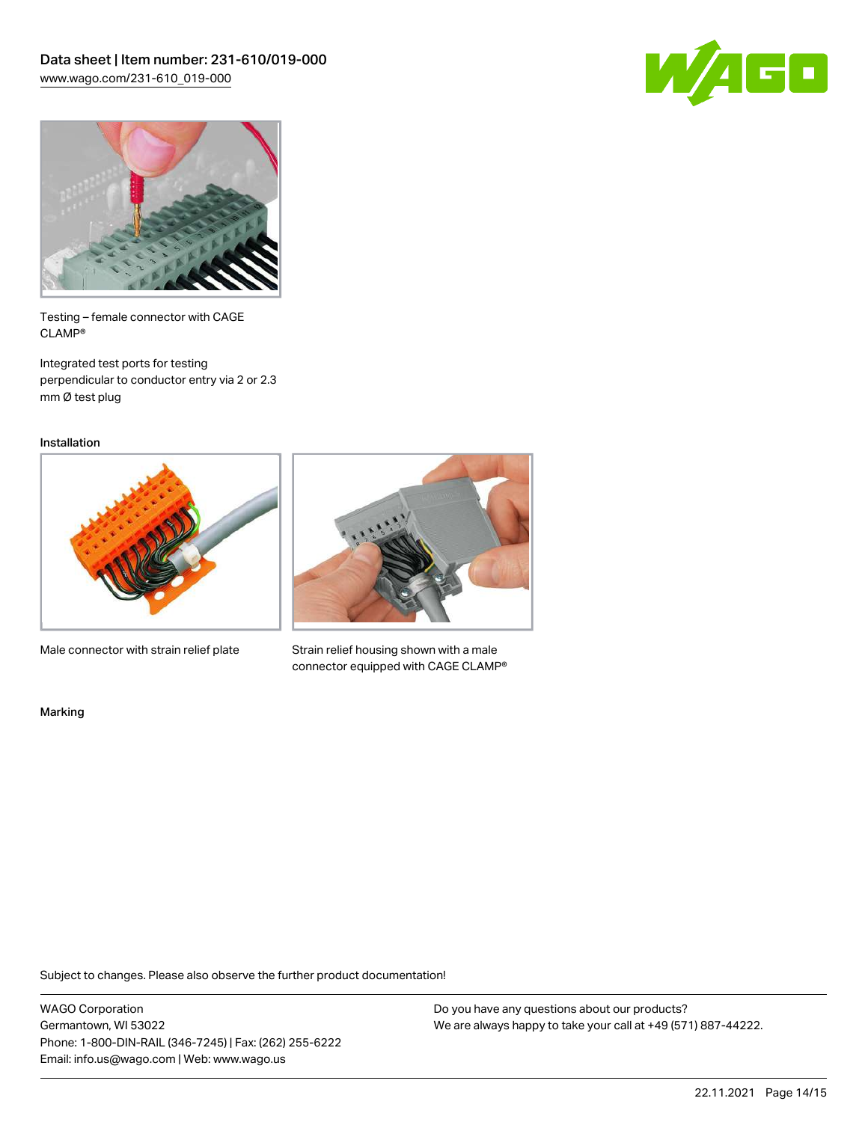



Testing – female connector with CAGE CLAMP®

Integrated test ports for testing perpendicular to conductor entry via 2 or 2.3 mm Ø test plug

Installation



Male connector with strain relief plate



Strain relief housing shown with a male connector equipped with CAGE CLAMP®

Marking

Subject to changes. Please also observe the further product documentation!

WAGO Corporation Germantown, WI 53022 Phone: 1-800-DIN-RAIL (346-7245) | Fax: (262) 255-6222 Email: info.us@wago.com | Web: www.wago.us